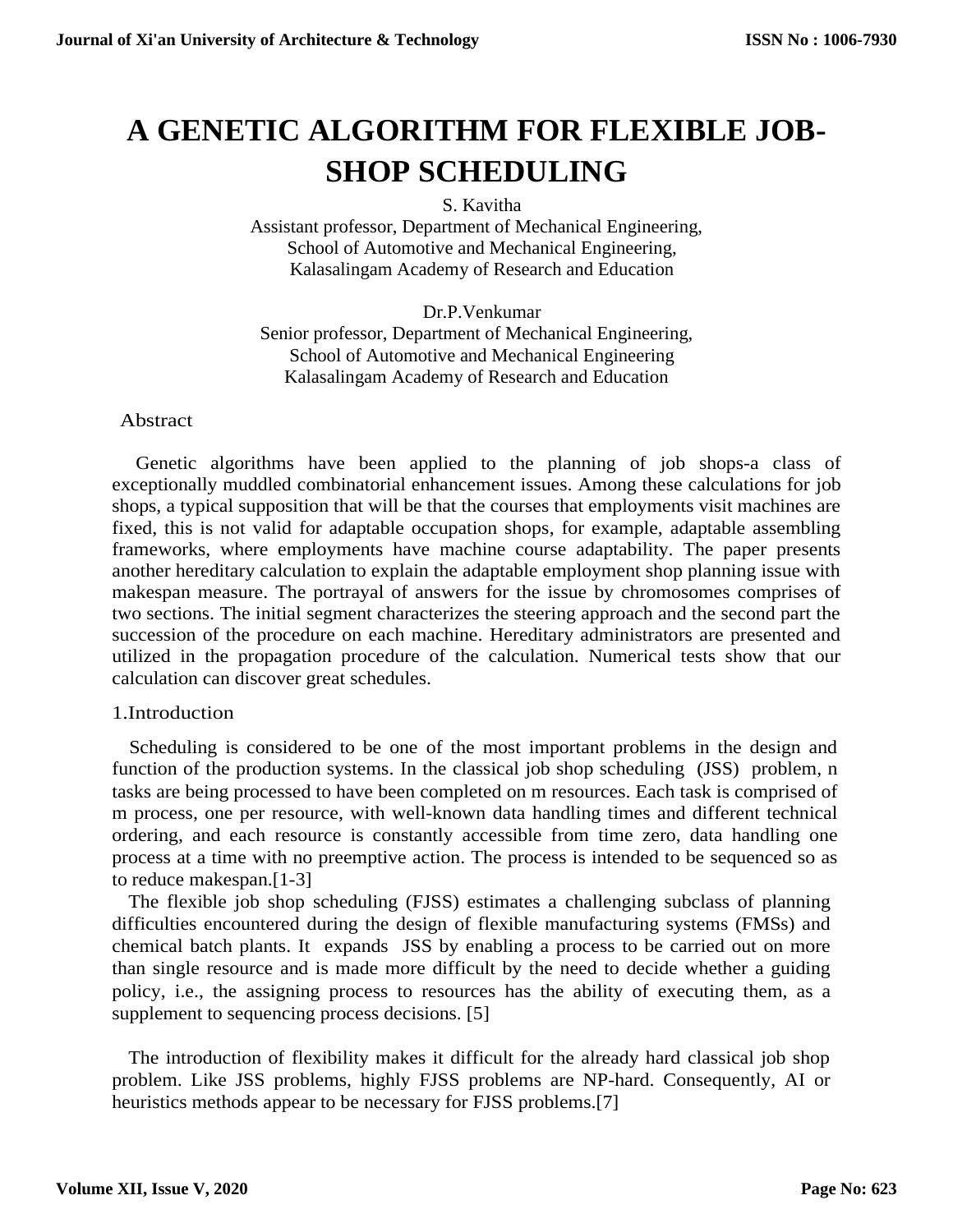# **A GENETIC ALGORITHM FOR FLEXIBLE JOB-SHOP SCHEDULING**

S. Kavitha

Assistant professor, Department of Mechanical Engineering, School of Automotive and Mechanical Engineering, Kalasalingam Academy of Research and Education

Dr.P.Venkumar Senior professor, Department of Mechanical Engineering, School of Automotive and Mechanical Engineering Kalasalingam Academy of Research and Education

## Abstract

Genetic algorithms have been applied to the planning of job shops-a class of exceptionally muddled combinatorial enhancement issues. Among these calculations for job shops, a typical supposition that will be that the courses that employments visit machines are fixed, this is not valid for adaptable occupation shops, for example, adaptable assembling frameworks, where employments have machine course adaptability. The paper presents another hereditary calculation to explain the adaptable employment shop planning issue with makespan measure. The portrayal of answers for the issue by chromosomes comprises of two sections. The initial segment characterizes the steering approach and the second part the succession of the procedure on each machine. Hereditary administrators are presented and utilized in the propagation procedure of the calculation. Numerical tests show that our calculation can discover great schedules.

# 1.Introduction

Scheduling is considered to be one of the most important problems in the design and function of the production systems. In the classical job shop scheduling (JSS) problem, n tasks are being processed to have been completed on m resources. Each task is comprised of m process, one per resource, with well-known data handling times and different technical ordering, and each resource is constantly accessible from time zero, data handling one process at a time with no preemptive action. The process is intended to be sequenced so as to reduce makespan.[1-3]

The flexible job shop scheduling (FJSS) estimates a challenging subclass of planning difficulties encountered during the design of flexible manufacturing systems (FMSs) and chemical batch plants. It expands JSS by enabling a process to be carried out on more than single resource and is made more difficult by the need to decide whether a guiding policy, i.e., the assigning process to resources has the ability of executing them, as a supplement to sequencing process decisions. [5]

The introduction of flexibility makes it difficult for the already hard classical job shop problem. Like JSS problems, highly FJSS problems are NP-hard. Consequently, AI or heuristics methods appear to be necessary for FJSS problems.[7]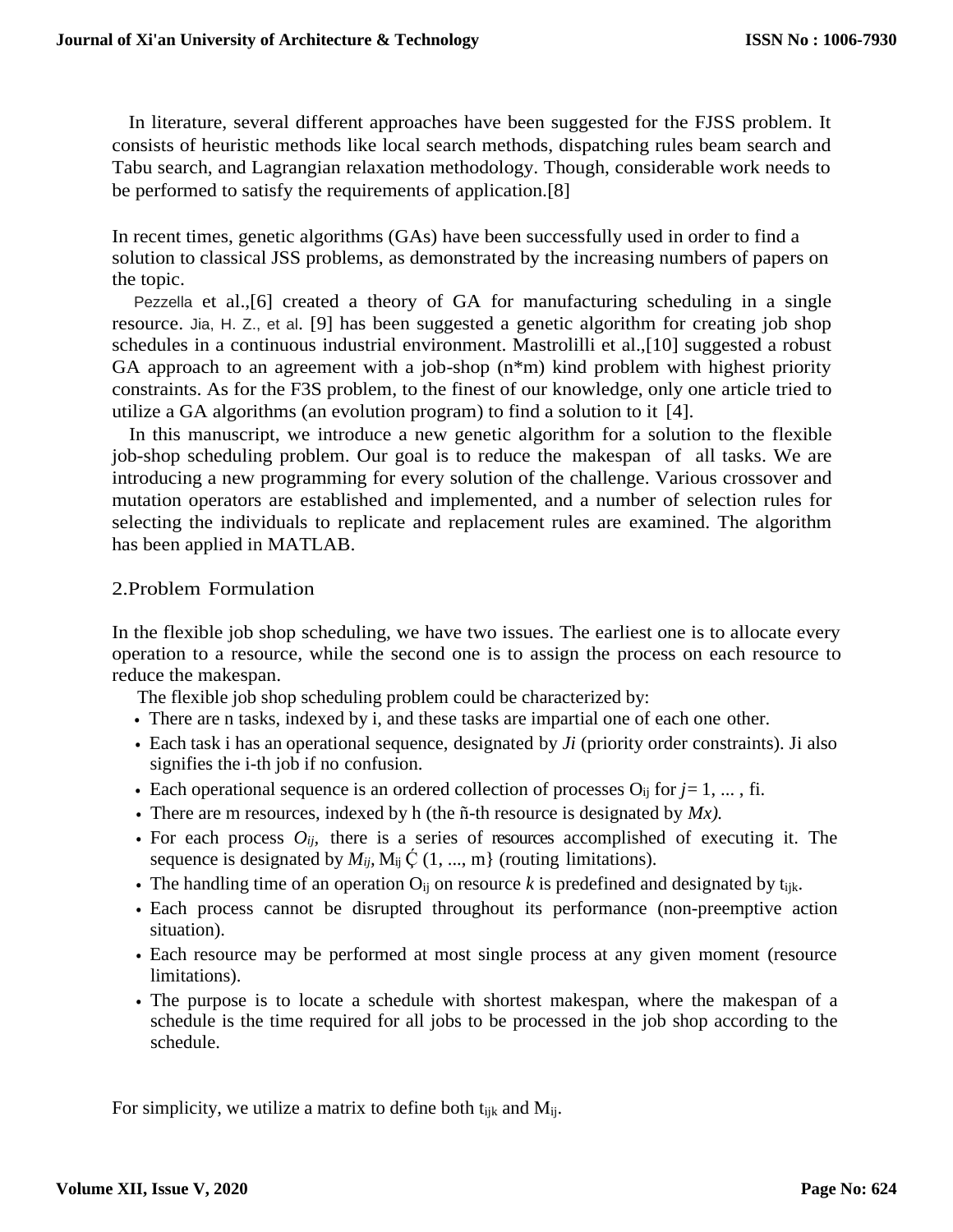In literature, several different approaches have been suggested for the FJSS problem. It consists of heuristic methods like local search methods, dispatching rules beam search and Tabu search, and Lagrangian relaxation methodology. Though, considerable work needs to be performed to satisfy the requirements of application.[8]

In recent times, genetic algorithms (GAs) have been successfully used in order to find a solution to classical JSS problems, as demonstrated by the increasing numbers of papers on the topic.

Pezzella et al.,[6] created a theory of GA for manufacturing scheduling in a single resource. Jia, H. Z., et al. [9] has been suggested a genetic algorithm for creating job shop schedules in a continuous industrial environment. Mastrolilli et al.,[10] suggested a robust GA approach to an agreement with a job-shop (n\*m) kind problem with highest priority constraints. As for the F3S problem, to the finest of our knowledge, only one article tried to utilize a GA algorithms (an evolution program) to find a solution to it [4].

In this manuscript, we introduce a new genetic algorithm for a solution to the flexible job-shop scheduling problem. Our goal is to reduce the makespan of all tasks. We are introducing a new programming for every solution of the challenge. Various crossover and mutation operators are established and implemented, and a number of selection rules for selecting the individuals to replicate and replacement rules are examined. The algorithm has been applied in MATLAB.

## 2.Problem Formulation

In the flexible job shop scheduling, we have two issues. The earliest one is to allocate every operation to a resource, while the second one is to assign the process on each resource to reduce the makespan.

The flexible job shop scheduling problem could be characterized by:

- There are n tasks, indexed by i, and these tasks are impartial one of each one other.
- Each task i has an operational sequence, designated by *Ji* (priority order constraints). Ji also signifies the i-th job if no confusion.
- Each operational sequence is an ordered collection of processes  $O_{ij}$  for  $j=1, \ldots,$  fi.
- There are m resources, indexed by h (the ñ-th resource is designated by *Mx).*
- For each process  $O_{ij}$ , there is a series of resources accomplished of executing it. The sequence is designated by  $M_{ij}$ ,  $M_{ij} \circ (1, ..., m)$  (routing limitations).
- The handling time of an operation  $O_{ij}$  on resource k is predefined and designated by  $t_{ijk}$ .
- Each process cannot be disrupted throughout its performance (non-preemptive action situation).
- Each resource may be performed at most single process at any given moment (resource limitations).
- The purpose is to locate a schedule with shortest makespan, where the makespan of a schedule is the time required for all jobs to be processed in the job shop according to the schedule.

For simplicity, we utilize a matrix to define both  $t_{ijk}$  and  $M_{ij}$ .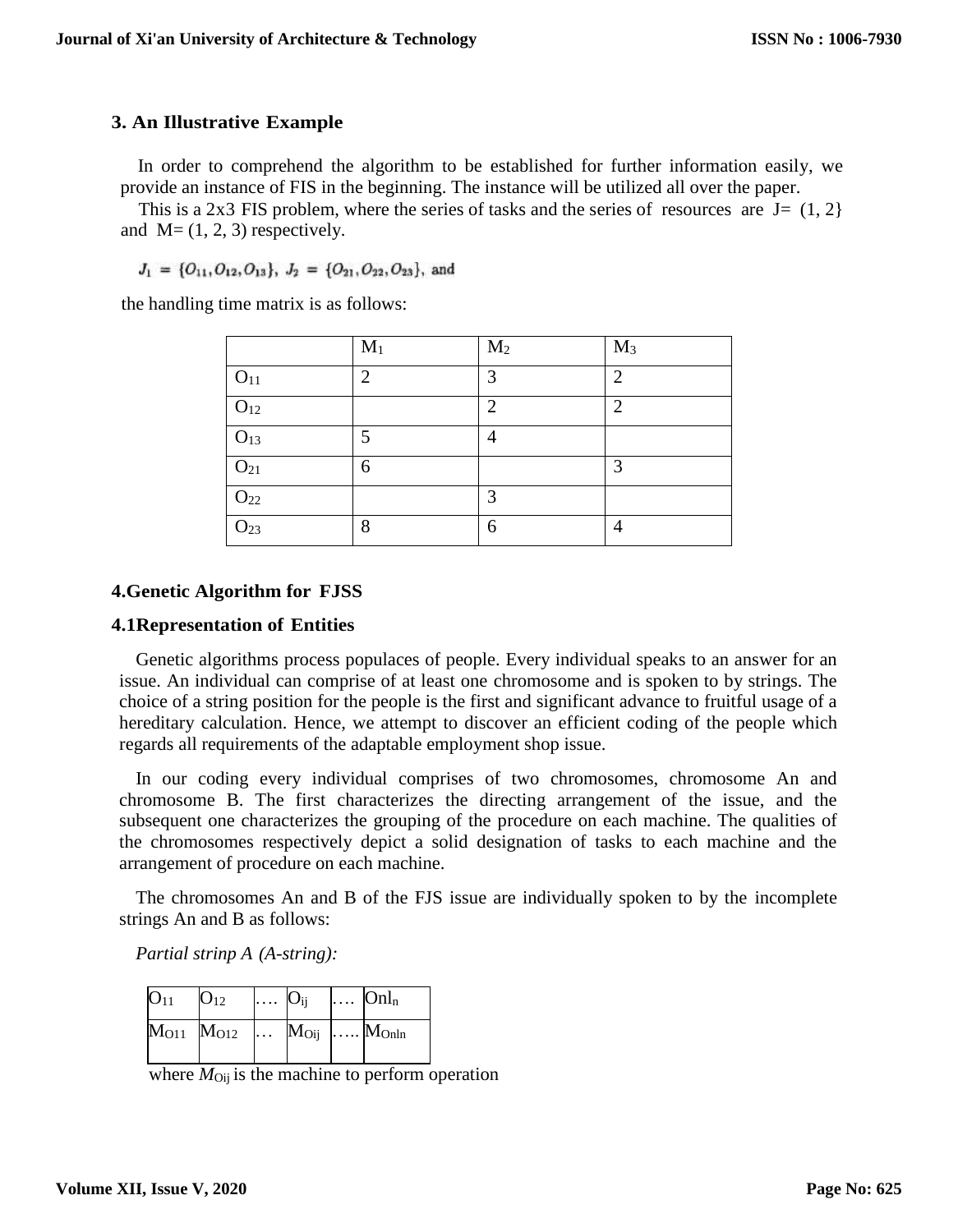## **3. An Illustrative Example**

In order to comprehend the algorithm to be established for further information easily, we provide an instance of FIS in the beginning. The instance will be utilized all over the paper.

This is a 2x3 FIS problem, where the series of tasks and the series of resources are  $J = (1, 2)$ and  $M=(1, 2, 3)$  respectively.

 $J_1 = \{O_{11}, O_{12}, O_{13}\}, J_2 = \{O_{21}, O_{22}, O_{23}\},$  and

the handling time matrix is as follows:

|                 | $M_1$          | M <sub>2</sub> | $M_3$          |
|-----------------|----------------|----------------|----------------|
| $O_{11}$        | $\overline{2}$ | 3              | $\overline{2}$ |
| O <sub>12</sub> |                | $\overline{2}$ | $\overline{2}$ |
| $O_{13}$        | 5              | $\overline{4}$ |                |
| $O_{21}$        | 6              |                | 3              |
| $O_{22}$        |                | 3              |                |
| O <sub>23</sub> | 8              | 6              | 4              |

#### **4.Genetic Algorithm for FJSS**

#### **4.1Representation of Entities**

Genetic algorithms process populaces of people. Every individual speaks to an answer for an issue. An individual can comprise of at least one chromosome and is spoken to by strings. The choice of a string position for the people is the first and significant advance to fruitful usage of a hereditary calculation. Hence, we attempt to discover an efficient coding of the people which regards all requirements of the adaptable employment shop issue.

In our coding every individual comprises of two chromosomes, chromosome An and chromosome B. The first characterizes the directing arrangement of the issue, and the subsequent one characterizes the grouping of the procedure on each machine. The qualities of the chromosomes respectively depict a solid designation of tasks to each machine and the arrangement of procedure on each machine.

The chromosomes An and B of the FJS issue are individually spoken to by the incomplete strings An and B as follows:

*Partial strinp A (A-string):*

| O <sub>11</sub> | $O_{12}$                                 | $\ldots$ $\mathbf{O}_{ij}$ $\ldots$ $\mathbf{Onl}_{n}$ |  |
|-----------------|------------------------------------------|--------------------------------------------------------|--|
|                 | $M_{O11}$ $M_{O12}$ $M_{Oij}$ $M_{OnIn}$ |                                                        |  |

where  $M_{\text{Oii}}$  is the machine to perform operation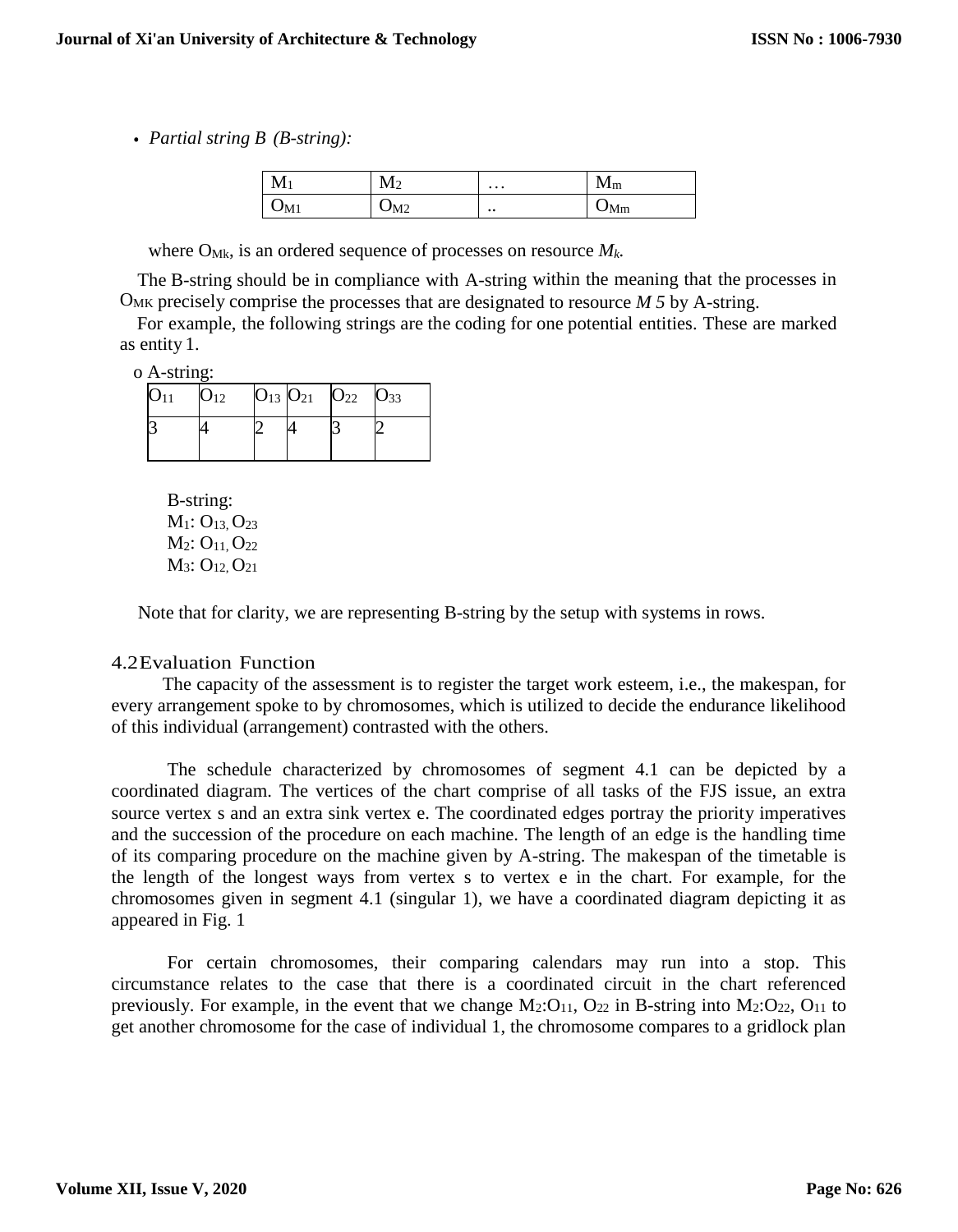*• Partial string B (B-string):*

| $\mathbf{M}$ | . / 1          | $\cdots$      | ш           |
|--------------|----------------|---------------|-------------|
| 111          | $\mathbf{M}$   |               | $1$ V $1$ m |
| $J_{\rm M1}$ | M <sub>2</sub> | $\cdot \cdot$ | 'Mm         |

where  $O_{Mk}$ , is an ordered sequence of processes on resource  $M_k$ .

The B-string should be in compliance with A-string within the meaning that the processes in OMK precisely comprise the processes that are designated to resource *M 5* by A-string.

For example, the following strings are the coding for one potential entities. These are marked as entity 1.

o A-string:

| $O_{11}$ | $\mathrm{O}_{12}$ | $O_{13}$ $O_{21}$ | $O_{22}$ | $O_{33}$ |
|----------|-------------------|-------------------|----------|----------|
|          |                   |                   |          |          |

B-string:  $M_1$ :  $O_{13}$ ,  $O_{23}$ M<sub>2</sub>: O<sub>11</sub>, O<sub>22</sub> M<sub>3</sub>: O<sub>12</sub>, O<sub>21</sub>

Note that for clarity, we are representing B-string by the setup with systems in rows.

#### 4.2Evaluation Function

The capacity of the assessment is to register the target work esteem, i.e., the makespan, for every arrangement spoke to by chromosomes, which is utilized to decide the endurance likelihood of this individual (arrangement) contrasted with the others.

The schedule characterized by chromosomes of segment 4.1 can be depicted by a coordinated diagram. The vertices of the chart comprise of all tasks of the FJS issue, an extra source vertex s and an extra sink vertex e. The coordinated edges portray the priority imperatives and the succession of the procedure on each machine. The length of an edge is the handling time of its comparing procedure on the machine given by A-string. The makespan of the timetable is the length of the longest ways from vertex s to vertex e in the chart. For example, for the chromosomes given in segment 4.1 (singular 1), we have a coordinated diagram depicting it as appeared in Fig. 1

For certain chromosomes, their comparing calendars may run into a stop. This circumstance relates to the case that there is a coordinated circuit in the chart referenced previously. For example, in the event that we change  $M_2:O_{11}$ ,  $O_{22}$  in B-string into  $M_2:O_{22}$ ,  $O_{11}$  to get another chromosome for the case of individual 1, the chromosome compares to a gridlock plan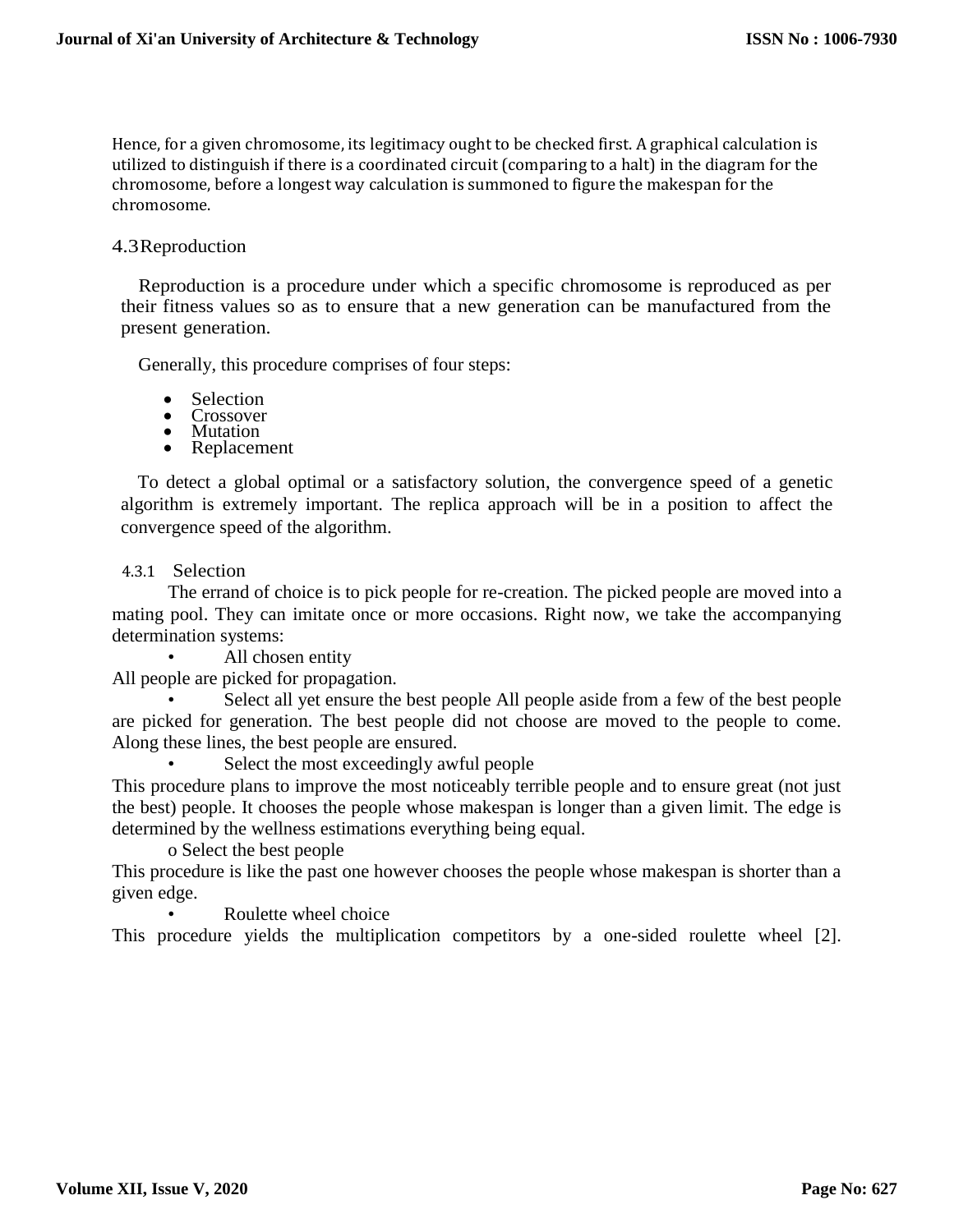Hence, for a given chromosome, its legitimacy ought to be checked first. A graphical calculation is utilized to distinguish if there is a coordinated circuit (comparing to a halt) in the diagram for the chromosome, before a longest way calculation is summoned to figure the makespan for the chromosome.

## 4.3Reproduction

Reproduction is a procedure under which a specific chromosome is reproduced as per their fitness values so as to ensure that a new generation can be manufactured from the present generation.

Generally, this procedure comprises of four steps:

- Selection
- Crossover<br>• Mutation
- Mutation
- Replacement

To detect a global optimal or a satisfactory solution, the convergence speed of a genetic algorithm is extremely important. The replica approach will be in a position to affect the convergence speed of the algorithm.

## 4.3.1 Selection

The errand of choice is to pick people for re-creation. The picked people are moved into a mating pool. They can imitate once or more occasions. Right now, we take the accompanying determination systems:

All chosen entity

All people are picked for propagation.

Select all yet ensure the best people All people aside from a few of the best people are picked for generation. The best people did not choose are moved to the people to come. Along these lines, the best people are ensured.

Select the most exceedingly awful people

This procedure plans to improve the most noticeably terrible people and to ensure great (not just the best) people. It chooses the people whose makespan is longer than a given limit. The edge is determined by the wellness estimations everything being equal.

o Select the best people

This procedure is like the past one however chooses the people whose makespan is shorter than a given edge.

Roulette wheel choice

This procedure yields the multiplication competitors by a one-sided roulette wheel [2].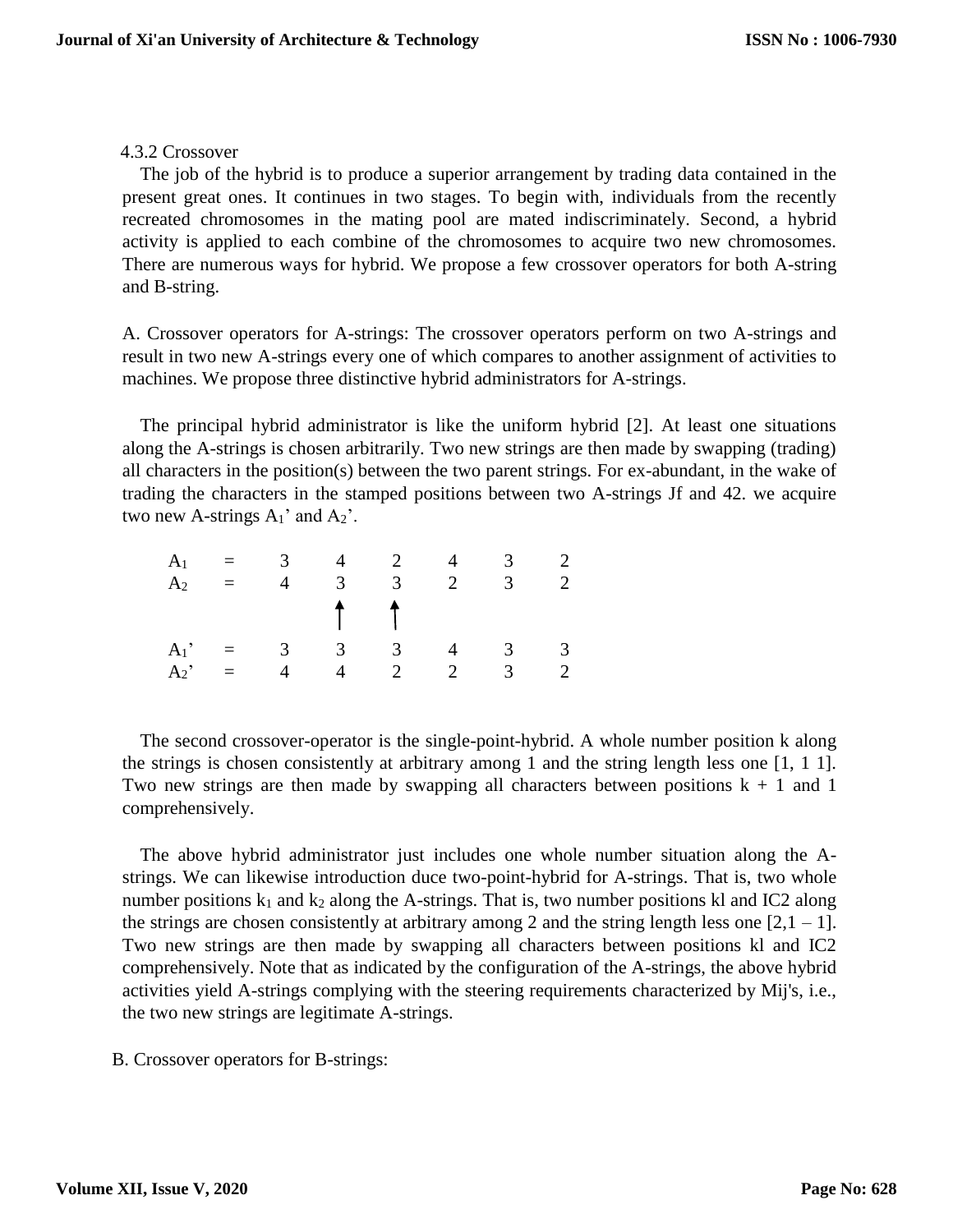## 4.3.2 Crossover

The job of the hybrid is to produce a superior arrangement by trading data contained in the present great ones. It continues in two stages. To begin with, individuals from the recently recreated chromosomes in the mating pool are mated indiscriminately. Second, a hybrid activity is applied to each combine of the chromosomes to acquire two new chromosomes. There are numerous ways for hybrid. We propose a few crossover operators for both A-string and B-string.

A. Crossover operators for A-strings: The crossover operators perform on two A-strings and result in two new A-strings every one of which compares to another assignment of activities to machines. We propose three distinctive hybrid administrators for A-strings.

The principal hybrid administrator is like the uniform hybrid [2]. At least one situations along the A-strings is chosen arbitrarily. Two new strings are then made by swapping (trading) all characters in the position(s) between the two parent strings. For ex-abundant, in the wake of trading the characters in the stamped positions between two A-strings Jf and 42. we acquire two new A-strings  $A_1$ ' and  $A_2$ '.

|  |  |                       | $A_1 = 3$ 4 2 4 3 2  |          |
|--|--|-----------------------|----------------------|----------|
|  |  |                       | $A_2 = 4 3 3 2$      | $3 \t 2$ |
|  |  | $\uparrow$ $\uparrow$ |                      |          |
|  |  |                       | $A_1' = 3 3 3 4 3 3$ |          |
|  |  |                       | $A_2$ = 4 4 2 2 3 2  |          |

The second crossover-operator is the single-point-hybrid. A whole number position k along the strings is chosen consistently at arbitrary among 1 and the string length less one [1, 1 1]. Two new strings are then made by swapping all characters between positions  $k + 1$  and 1 comprehensively.

The above hybrid administrator just includes one whole number situation along the Astrings. We can likewise introduction duce two-point-hybrid for A-strings. That is, two whole number positions  $k_1$  and  $k_2$  along the A-strings. That is, two number positions kl and IC2 along the strings are chosen consistently at arbitrary among 2 and the string length less one  $[2,1 - 1]$ . Two new strings are then made by swapping all characters between positions kl and IC2 comprehensively. Note that as indicated by the configuration of the A-strings, the above hybrid activities yield A-strings complying with the steering requirements characterized by Mij's, i.e., the two new strings are legitimate A-strings.

B. Crossover operators for B-strings: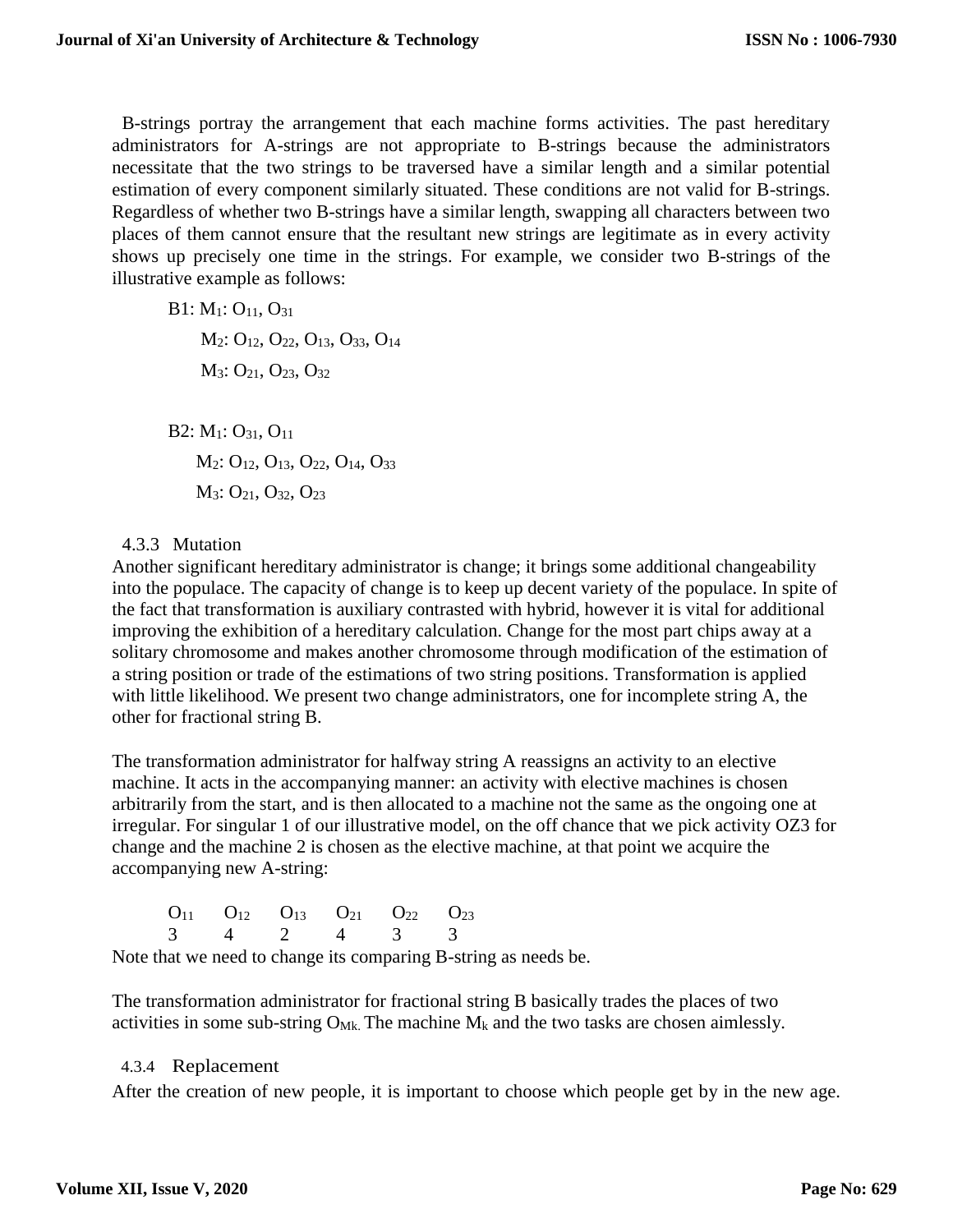B-strings portray the arrangement that each machine forms activities. The past hereditary administrators for A-strings are not appropriate to B-strings because the administrators necessitate that the two strings to be traversed have a similar length and a similar potential estimation of every component similarly situated. These conditions are not valid for B-strings. Regardless of whether two B-strings have a similar length, swapping all characters between two places of them cannot ensure that the resultant new strings are legitimate as in every activity shows up precisely one time in the strings. For example, we consider two B-strings of the illustrative example as follows:

B1: M1: O11, O<sup>31</sup> M<sub>2</sub>: O<sub>12</sub>, O<sub>22</sub>, O<sub>13</sub>, O<sub>33</sub>, O<sub>14</sub>  $M_3$ : O<sub>21</sub>, O<sub>23</sub>, O<sub>32</sub>

B2: M1: O31, O<sup>11</sup> M<sub>2</sub>: O<sub>12</sub>, O<sub>13</sub>, O<sub>22</sub>, O<sub>14</sub>, O<sub>33</sub> M<sub>3</sub>: O<sub>21</sub>, O<sub>32</sub>, O<sub>23</sub>

## 4.3.3 Mutation

Another significant hereditary administrator is change; it brings some additional changeability into the populace. The capacity of change is to keep up decent variety of the populace. In spite of the fact that transformation is auxiliary contrasted with hybrid, however it is vital for additional improving the exhibition of a hereditary calculation. Change for the most part chips away at a solitary chromosome and makes another chromosome through modification of the estimation of a string position or trade of the estimations of two string positions. Transformation is applied with little likelihood. We present two change administrators, one for incomplete string A, the other for fractional string B.

The transformation administrator for halfway string A reassigns an activity to an elective machine. It acts in the accompanying manner: an activity with elective machines is chosen arbitrarily from the start, and is then allocated to a machine not the same as the ongoing one at irregular. For singular 1 of our illustrative model, on the off chance that we pick activity OZ3 for change and the machine 2 is chosen as the elective machine, at that point we acquire the accompanying new A-string:

|  |  | $O_{11}$ $O_{12}$ $O_{13}$ $O_{21}$ $O_{22}$ $O_{23}$ |  |
|--|--|-------------------------------------------------------|--|
|  |  | 3 4 2 4 3 3                                           |  |

Note that we need to change its comparing B-string as needs be.

The transformation administrator for fractional string B basically trades the places of two activities in some sub-string  $O_{MK}$ . The machine  $M_k$  and the two tasks are chosen aimlessly.

## 4.3.4 Replacement

After the creation of new people, it is important to choose which people get by in the new age.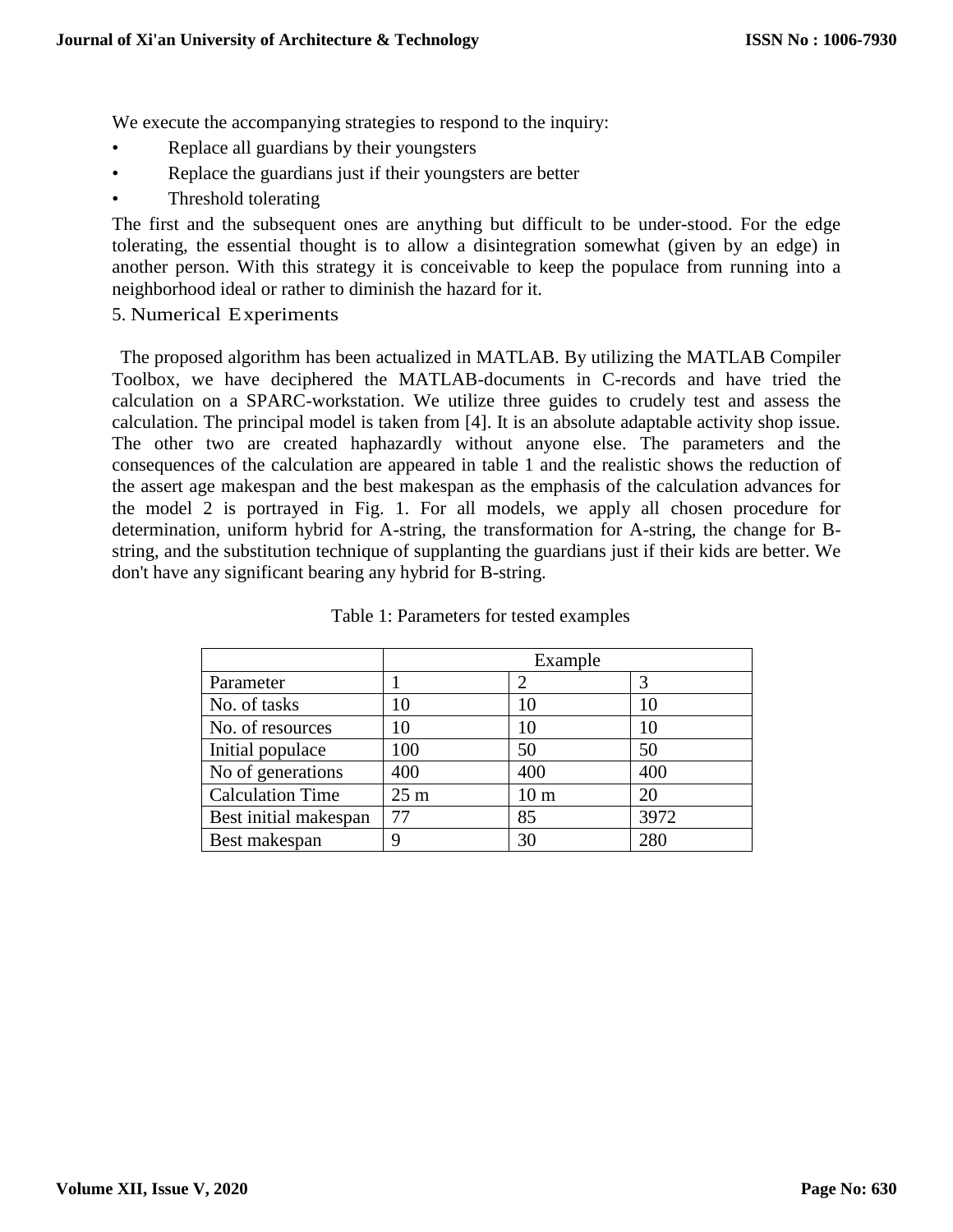We execute the accompanying strategies to respond to the inquiry:

- Replace all guardians by their youngsters
- Replace the guardians just if their youngsters are better
- Threshold tolerating

The first and the subsequent ones are anything but difficult to be under-stood. For the edge tolerating, the essential thought is to allow a disintegration somewhat (given by an edge) in another person. With this strategy it is conceivable to keep the populace from running into a neighborhood ideal or rather to diminish the hazard for it.

5. Numerical Experiments

The proposed algorithm has been actualized in MATLAB. By utilizing the MATLAB Compiler Toolbox, we have deciphered the MATLAB-documents in C-records and have tried the calculation on a SPARC-workstation. We utilize three guides to crudely test and assess the calculation. The principal model is taken from [4]. It is an absolute adaptable activity shop issue. The other two are created haphazardly without anyone else. The parameters and the consequences of the calculation are appeared in table 1 and the realistic shows the reduction of the assert age makespan and the best makespan as the emphasis of the calculation advances for the model 2 is portrayed in Fig. 1. For all models, we apply all chosen procedure for determination, uniform hybrid for A-string, the transformation for A-string, the change for Bstring, and the substitution technique of supplanting the guardians just if their kids are better. We don't have any significant bearing any hybrid for B-string.

|                         |                 | Example         |      |
|-------------------------|-----------------|-----------------|------|
| Parameter               |                 |                 | 3    |
| No. of tasks            | 10              | 10              | 10   |
| No. of resources        | 10              | 10              | 10   |
| Initial populace        | 100             | 50              | 50   |
| No of generations       | 400             | 400             | 400  |
| <b>Calculation Time</b> | 25 <sub>m</sub> | 10 <sub>m</sub> | 20   |
| Best initial makespan   | 77              | 85              | 3972 |
| Best makespan           | Q               | 30              | 280  |

|  |  |  | Table 1: Parameters for tested examples |  |  |  |
|--|--|--|-----------------------------------------|--|--|--|
|--|--|--|-----------------------------------------|--|--|--|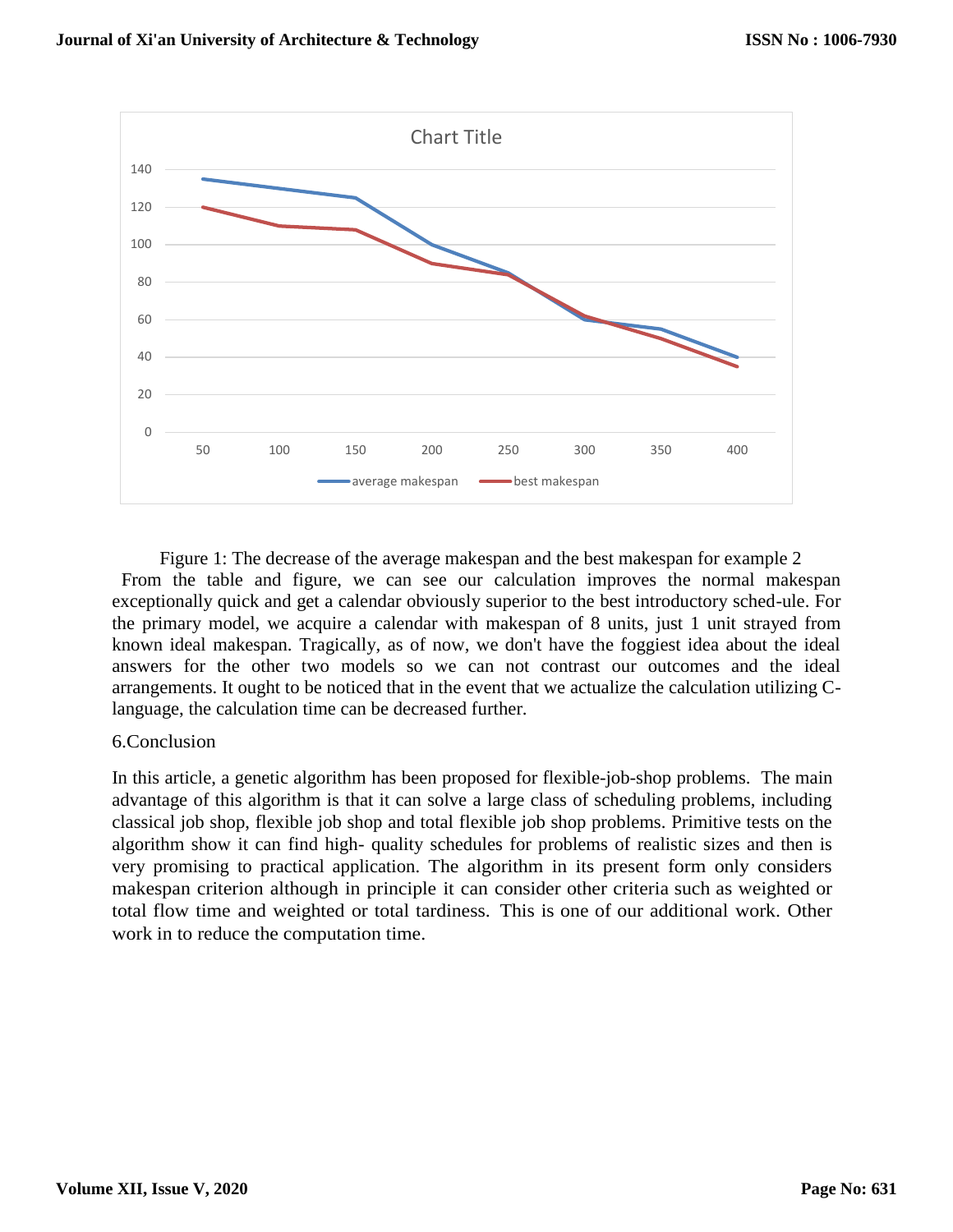

Figure 1: The decrease of the average makespan and the best makespan for example 2 From the table and figure, we can see our calculation improves the normal makespan exceptionally quick and get a calendar obviously superior to the best introductory sched-ule. For the primary model, we acquire a calendar with makespan of 8 units, just 1 unit strayed from known ideal makespan. Tragically, as of now, we don't have the foggiest idea about the ideal answers for the other two models so we can not contrast our outcomes and the ideal arrangements. It ought to be noticed that in the event that we actualize the calculation utilizing Clanguage, the calculation time can be decreased further.

#### 6.Conclusion

In this article, a genetic algorithm has been proposed for flexible-job-shop problems. The main advantage of this algorithm is that it can solve a large class of scheduling problems, including classical job shop, flexible job shop and total flexible job shop problems. Primitive tests on the algorithm show it can find high- quality schedules for problems of realistic sizes and then is very promising to practical application. The algorithm in its present form only considers makespan criterion although in principle it can consider other criteria such as weighted or total flow time and weighted or total tardiness. This is one of our additional work. Other work in to reduce the computation time.